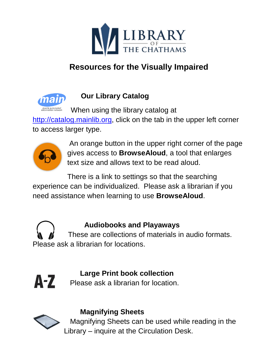

# **Resources for the Visually Impaired**



### **Our Library Catalog**

When using the library catalog at

[http://catalog.mainlib.org,](http://catalog.mainlib.org/) click on the tab in the upper left corner to access larger type.



An orange button in the upper right corner of the page gives access to **BrowseAloud**, a tool that enlarges text size and allows text to be read aloud.

There is a link to settings so that the searching experience can be individualized. Please ask a librarian if you need assistance when learning to use **BrowseAloud**.

#### **Audiobooks and Playaways**

 These are collections of materials in audio formats. Please ask a librarian for locations.



## **Large Print book collection**

Please ask a librarian for location.



#### **Magnifying Sheets**

 Magnifying Sheets can be used while reading in the Library – inquire at the Circulation Desk.